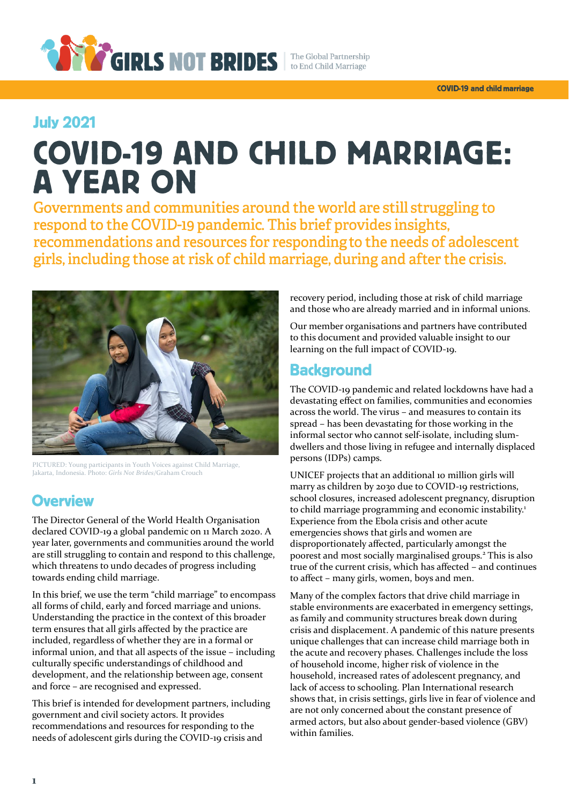

## **July 2021**

# **COVID-19 AND CHILD MARRIAGE: A YEAR ON**

Governments and communities around the world are still struggling to respond to the COVID-19 pandemic. This brief provides insights, recommendations and resources for responding to the needs of adolescent girls, including those at risk of child marriage, during and after the crisis.



PICTURED: Young participants in Youth Voices against Child Marriage, Jakarta, Indonesia. Photo: *Girls Not Brides*/Graham Crouch

## **Overview**

The Director General of the World Health Organisation declared COVID-19 a global pandemic on 11 March 2020. A year later, governments and communities around the world are still struggling to contain and respond to this challenge, which threatens to undo decades of progress including towards ending child marriage.

In this brief, we use the term "child marriage" to encompass all forms of child, early and forced marriage and unions. Understanding the practice in the context of this broader term ensures that all girls affected by the practice are included, regardless of whether they are in a formal or informal union, and that all aspects of the issue – including culturally specific understandings of childhood and development, and the relationship between age, consent and force – are recognised and expressed.

This brief is intended for development partners, including government and civil society actors. It provides recommendations and resources for responding to the needs of adolescent girls during the COVID-19 crisis and

recovery period, including those at risk of child marriage and those who are already married and in informal unions.

Our member organisations and partners have contributed to this document and provided valuable insight to our learning on the full impact of COVID-19.

## **Background**

The COVID-19 pandemic and related lockdowns have had a devastating effect on families, communities and economies across the world. The virus – and measures to contain its spread – has been devastating for those working in the informal sector who cannot self-isolate, including slumdwellers and those living in refugee and internally displaced persons (IDPs) camps.

UNICEF projects that an additional 10 million girls will marry as children by 2030 due to COVID-19 restrictions, school closures, increased adolescent pregnancy, disruption to child marriage programming and economic instability.<sup>1</sup> Experience from the Ebola crisis and other acute emergencies shows that girls and women are disproportionately affected, particularly amongst the poorest and most socially marginalised groups.<sup>2</sup> This is also true of the current crisis, which has affected – and continues to affect – many girls, women, boys and men.

Many of the complex factors that drive child marriage in stable environments are exacerbated in emergency settings, as family and community structures break down during crisis and displacement. A pandemic of this nature presents unique challenges that can increase child marriage both in the acute and recovery phases. Challenges include the loss of household income, higher risk of violence in the household, increased rates of adolescent pregnancy, and lack of access to schooling. Plan International research shows that, in crisis settings, girls live in fear of violence and are not only concerned about the constant presence of armed actors, but also about gender-based violence (GBV) within families.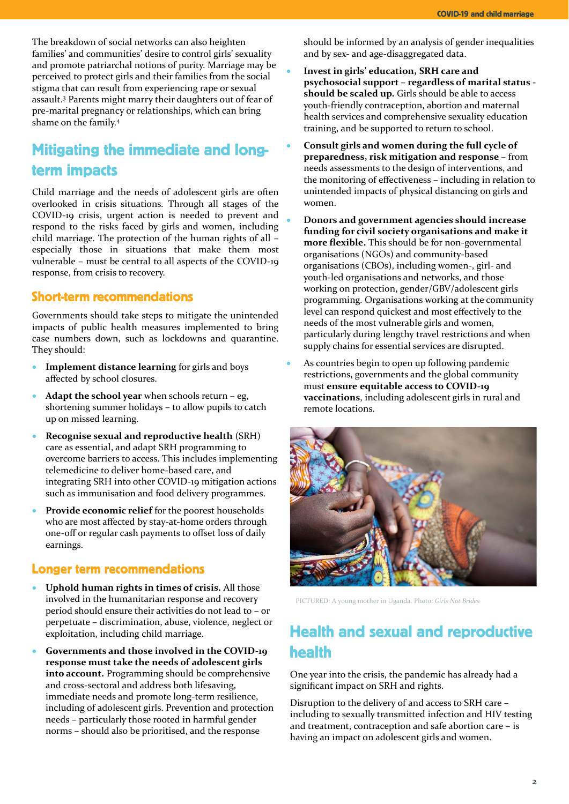The breakdown of social networks can also heighten families' and communities' desire to control girls' sexuality and promote patriarchal notions of purity. Marriage may be perceived to protect girls and their families from the social stigma that can result from experiencing rape or sexual assault.<sup>3</sup> Parents might marry their daughters out of fear of pre-marital pregnancy or relationships, which can bring shame on the family.<sup>4</sup>

# **Mitigating the immediate and long**term impacts

Child marriage and the needs of adolescent girls are often overlooked in crisis situations. Through all stages of the COVID-19 crisis, urgent action is needed to prevent and respond to the risks faced by girls and women, including child marriage. The protection of the human rights of all – especially those in situations that make them most vulnerable – must be central to all aspects of the COVID-19 response, from crisis to recovery.

#### **Short-term recommendations**

Governments should take steps to mitigate the unintended impacts of public health measures implemented to bring case numbers down, such as lockdowns and quarantine. They should:

- **Implement distance learning** for girls and boys affected by school closures.
- **Adapt the school year** when schools return eg, shortening summer holidays – to allow pupils to catch up on missed learning.
- **Recognise sexual and reproductive health** (SRH) care as essential, and adapt SRH programming to overcome barriers to access. This includes implementing telemedicine to deliver home-based care, and integrating SRH into other COVID-19 mitigation actions such as immunisation and food delivery programmes.
- **Provide economic relief** for the poorest households who are most affected by stay-at-home orders through one-off or regular cash payments to offset loss of daily earnings.

#### **Longer term recommendations**

- **Uphold human rights in times of crisis.** All those involved in the humanitarian response and recovery period should ensure their activities do not lead to – or perpetuate – discrimination, abuse, violence, neglect or exploitation, including child marriage.
- **Governments and those involved in the COVID-19 response must take the needs of adolescent girls into account.** Programming should be comprehensive and cross-sectoral and address both lifesaving, immediate needs and promote long-term resilience, including of adolescent girls. Prevention and protection needs – particularly those rooted in harmful gender norms – should also be prioritised, and the response

should be informed by an analysis of gender inequalities and by sex- and age-disaggregated data.

- **Invest in girls' education, SRH care and psychosocial support – regardless of marital status should be scaled up.** Girls should be able to access youth-friendly contraception, abortion and maternal health services and comprehensive sexuality education training, and be supported to return to school.
- **Consult girls and women during the full cycle of preparedness, risk mitigation and response** – from needs assessments to the design of interventions, and the monitoring of effectiveness – including in relation to unintended impacts of physical distancing on girls and women.
- **Donors and government agencies should increase funding for civil society organisations and make it more flexible.** This should be for non-governmental organisations (NGOs) and community-based organisations (CBOs), including women-, girl- and youth-led organisations and networks, and those working on protection, gender/GBV/adolescent girls programming. Organisations working at the community level can respond quickest and most effectively to the needs of the most vulnerable girls and women, particularly during lengthy travel restrictions and when supply chains for essential services are disrupted.
- As countries begin to open up following pandemic restrictions, governments and the global community must **ensure equitable access to COVID-19 vaccinations**, including adolescent girls in rural and remote locations.



PICTURED: A young mother in Uganda. Photo: *Girls Not Brides*

# **Health and sexual and reproductive** health

One year into the crisis, the pandemic has already had a significant impact on SRH and rights.

Disruption to the delivery of and access to SRH care – including to sexually transmitted infection and HIV testing and treatment, contraception and safe abortion care – is having an impact on adolescent girls and women.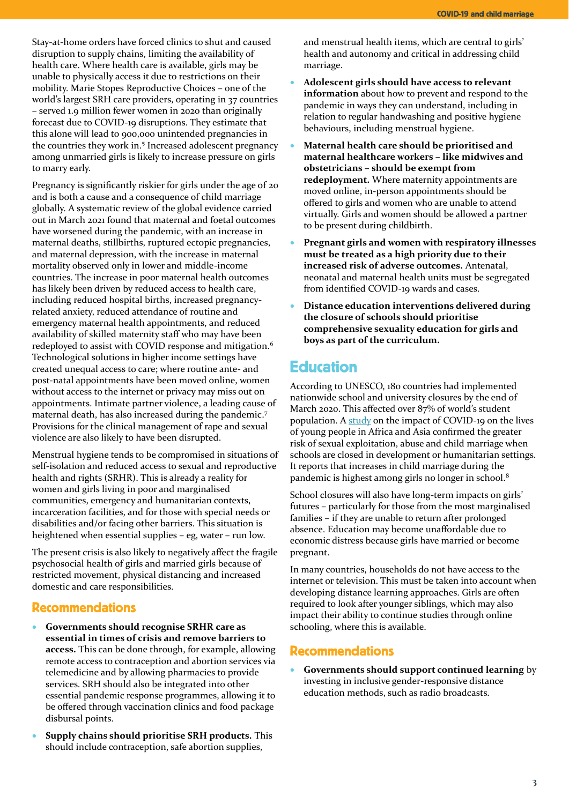Stay-at-home orders have forced clinics to shut and caused disruption to supply chains, limiting the availability of health care. Where health care is available, girls may be unable to physically access it due to restrictions on their mobility. Marie Stopes Reproductive Choices – one of the world's largest SRH care providers, operating in 37 countries – served 1.9 million fewer women in 2020 than originally forecast due to COVID-19 disruptions. They estimate that this alone will lead to 900,000 unintended pregnancies in the countries they work in. 5 Increased adolescent pregnancy among unmarried girls is likely to increase pressure on girls to marry early.

Pregnancy is significantly riskier for girls under the age of 20 and is both a cause and a consequence of child marriage globally. A systematic review of the global evidence carried out in March 2021 found that maternal and foetal outcomes have worsened during the pandemic, with an increase in maternal deaths, stillbirths, ruptured ectopic pregnancies, and maternal depression, with the increase in maternal mortality observed only in lower and middle-income countries. The increase in poor maternal health outcomes has likely been driven by reduced access to health care, including reduced hospital births, increased pregnancyrelated anxiety, reduced attendance of routine and emergency maternal health appointments, and reduced availability of skilled maternity staff who may have been redeployed to assist with COVID response and mitigation.<sup>6</sup> Technological solutions in higher income settings have created unequal access to care; where routine ante- and post-natal appointments have been moved online, women without access to the internet or privacy may miss out on appointments. Intimate partner violence, a leading cause of maternal death, has also increased during the pandemic.<sup>7</sup> Provisions for the clinical management of rape and sexual violence are also likely to have been disrupted.

Menstrual hygiene tends to be compromised in situations of self-isolation and reduced access to sexual and reproductive health and rights (SRHR). This is already a reality for women and girls living in poor and marginalised communities, emergency and humanitarian contexts, incarceration facilities, and for those with special needs or disabilities and/or facing other barriers. This situation is heightened when essential supplies – eg, water – run low.

The present crisis is also likely to negatively affect the fragile psychosocial health of girls and married girls because of restricted movement, physical distancing and increased domestic and care responsibilities.

#### **Recommendations**

- **Governments should recognise SRHR care as essential in times of crisis and remove barriers to access.** This can be done through, for example, allowing remote access to contraception and abortion services via telemedicine and by allowing pharmacies to provide services. SRH should also be integrated into other essential pandemic response programmes, allowing it to be offered through vaccination clinics and food package disbursal points.
- **Supply chains should prioritise SRH products.** This should include contraception, safe abortion supplies,

and menstrual health items, which are central to girls' health and autonomy and critical in addressing child marriage.

- **Adolescent girls should have access to relevant information** about how to prevent and respond to the pandemic in ways they can understand, including in relation to regular handwashing and positive hygiene behaviours, including menstrual hygiene.
- **Maternal health care should be prioritised and maternal healthcare workers – like midwives and obstetricians – should be exempt from redeployment.** Where maternity appointments are moved online, in-person appointments should be offered to girls and women who are unable to attend virtually. Girls and women should be allowed a partner to be present during childbirth.
- **Pregnant girls and women with respiratory illnesses must be treated as a high priority due to their increased risk of adverse outcomes.** Antenatal, neonatal and maternal health units must be segregated from identified COVID-19 wards and cases.
- **Distance education interventions delivered during the closure of schools should prioritise comprehensive sexuality education for girls and boys as part of the curriculum.**

## **Education**

According to UNESCO, 180 countries had implemented nationwide school and university closures by the end of March 2020. This affected over 87% of world's student population. A [study](https://rutgers.international/news/news-archive/rutgers-studycovid-19-measures-have-huge-impact-all-aspects-young-peoples-lives?destination=node/623) on the impact of COVID-19 on the lives of young people in Africa and Asia confirmed the greater risk of sexual exploitation, abuse and child marriage when schools are closed in development or humanitarian settings. It reports that increases in child marriage during the pandemic is highest among girls no longer in school.<sup>8</sup>

School closures will also have long-term impacts on girls' futures – particularly for those from the most marginalised families – if they are unable to return after prolonged absence. Education may become unaffordable due to economic distress because girls have married or become pregnant.

In many countries, households do not have access to the internet or television. This must be taken into account when developing distance learning approaches. Girls are often required to look after younger siblings, which may also impact their ability to continue studies through online schooling, where this is available.

#### **Recommendations**

• **Governments should support continued learning** by investing in inclusive gender-responsive distance education methods, such as radio broadcasts.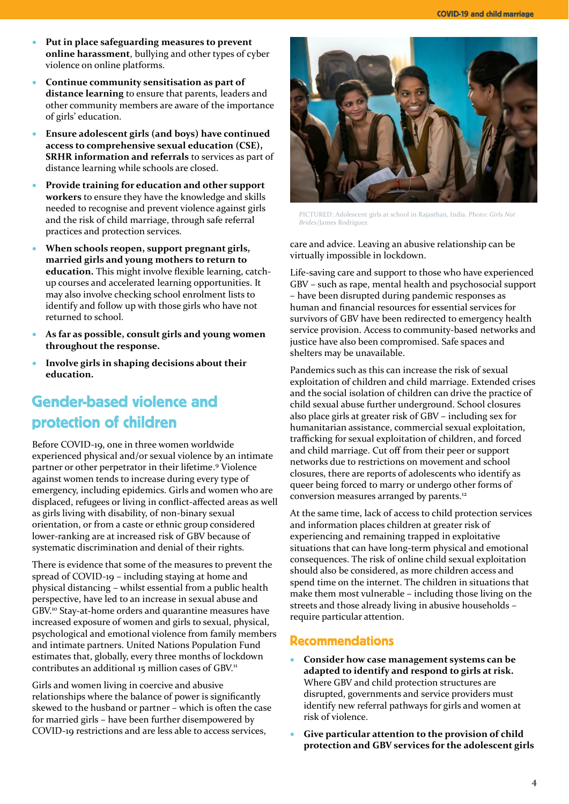- **Put in place safeguarding measures to prevent online harassment**, bullying and other types of cyber violence on online platforms.
- **Continue community sensitisation as part of distance learning** to ensure that parents, leaders and other community members are aware of the importance of girls' education.
- **Ensure adolescent girls (and boys) have continued access to comprehensive sexual education (CSE), SRHR information and referrals** to services as part of distance learning while schools are closed.
- **Provide training for education and other support workers** to ensure they have the knowledge and skills needed to recognise and prevent violence against girls and the risk of child marriage, through safe referral practices and protection services.
- **When schools reopen, support pregnant girls, married girls and young mothers to return to education.** This might involve flexible learning, catchup courses and accelerated learning opportunities. It may also involve checking school enrolment lists to identify and follow up with those girls who have not returned to school.
- **As far as possible, consult girls and young women throughout the response.**
- **Involve girls in shaping decisions about their education.**

# **Gender-based violence and** protection of children

Before COVID-19, one in three women worldwide experienced physical and/or sexual violence by an intimate partner or other perpetrator in their lifetime. <sup>9</sup> Violence against women tends to increase during every type of emergency, including epidemics. Girls and women who are displaced, refugees or living in conflict-affected areas as well as girls living with disability, of non-binary sexual orientation, or from a caste or ethnic group considered lower-ranking are at increased risk of GBV because of systematic discrimination and denial of their rights.

There is evidence that some of the measures to prevent the spread of COVID-19 – including staying at home and physical distancing – whilst essential from a public health perspective, have led to an increase in sexual abuse and GBV. <sup>10</sup> Stay-at-home orders and quarantine measures have increased exposure of women and girls to sexual, physical, psychological and emotional violence from family members and intimate partners. United Nations Population Fund estimates that, globally, every three months of lockdown contributes an additional 15 million cases of GBV.<sup>11</sup>

Girls and women living in coercive and abusive relationships where the balance of power is significantly skewed to the husband or partner – which is often the case for married girls – have been further disempowered by COVID-19 restrictions and are less able to access services,



PICTURED: Adolescent girls at school in Rajasthan, India. Photo: *Girls Not Brides*/James Rodríguez

care and advice. Leaving an abusive relationship can be virtually impossible in lockdown.

Life-saving care and support to those who have experienced GBV – such as rape, mental health and psychosocial support – have been disrupted during pandemic responses as human and financial resources for essential services for survivors of GBV have been redirected to emergency health service provision. Access to community-based networks and justice have also been compromised. Safe spaces and shelters may be unavailable.

Pandemics such as this can increase the risk of sexual exploitation of children and child marriage. Extended crises and the social isolation of children can drive the practice of child sexual abuse further underground. School closures also place girls at greater risk of GBV – including sex for humanitarian assistance, commercial sexual exploitation, trafficking for sexual exploitation of children, and forced and child marriage. Cut off from their peer or support networks due to restrictions on movement and school closures, there are reports of adolescents who identify as queer being forced to marry or undergo other forms of conversion measures arranged by parents.<sup>12</sup>

At the same time, lack of access to child protection services and information places children at greater risk of experiencing and remaining trapped in exploitative situations that can have long-term physical and emotional consequences. The risk of online child sexual exploitation should also be considered, as more children access and spend time on the internet. The children in situations that make them most vulnerable – including those living on the streets and those already living in abusive households – require particular attention.

### **Recommendations**

- **Consider how case management systems can be adapted to identify and respond to girls at risk.**  Where GBV and child protection structures are disrupted, governments and service providers must identify new referral pathways for girls and women at risk of violence.
- **Give particular attention to the provision of child protection and GBV services for the adolescent girls**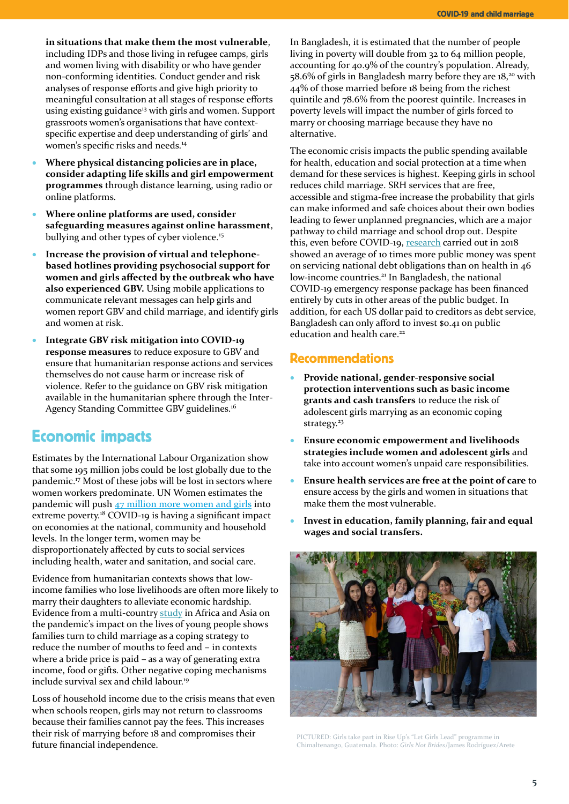**in situations that make them the most vulnerable**, including IDPs and those living in refugee camps, girls and women living with disability or who have gender non-conforming identities. Conduct gender and risk analyses of response efforts and give high priority to meaningful consultation at all stages of response efforts using existing guidance<sup>13</sup> with girls and women. Support grassroots women's organisations that have contextspecific expertise and deep understanding of girls' and women's specific risks and needs.<sup>14</sup>

- **Where physical distancing policies are in place, consider adapting life skills and girl empowerment programmes** through distance learning, using radio or online platforms.
- **Where online platforms are used, consider safeguarding measures against online harassment**, bullying and other types of cyber violence.<sup>15</sup>
- **Increase the provision of virtual and telephonebased hotlines providing psychosocial support for women and girls affected by the outbreak who have also experienced GBV.** Using mobile applications to communicate relevant messages can help girls and women report GBV and child marriage, and identify girls and women at risk.
- **Integrate GBV risk mitigation into COVID-19 response measures** to reduce exposure to GBV and ensure that humanitarian response actions and services themselves do not cause harm or increase risk of violence. Refer to the guidance on GBV risk mitigation available in the humanitarian sphere through the Inter-Agency Standing Committee GBV guidelines. 16

## **Economic impacts**

Estimates by the International Labour Organization show that some 195 million jobs could be lost globally due to the pandemic. <sup>17</sup> Most of these jobs will be lost in sectors where women workers predominate. UN Women estimates the pandemic will push 47 million more [women](https://www.unwomen.org/en/digital-library/publications/2020/09/gender-equality-in-the-wake-of-covid-19) and girls into extreme poverty.<sup>18</sup> COVID-19 is having a significant impact on economies at the national, community and household levels. In the longer term, women may be disproportionately affected by cuts to social services including health, water and sanitation, and social care.

Evidence from humanitarian contexts shows that lowincome families who lose livelihoods are often more likely to marry their daughters to alleviate economic hardship. Evidence from a multi-countr[y study](https://rutgers.international/news/news-archive/rutgers-studycovid-19-measures-have-huge-impact-all-aspects-young-peoples-lives?destination=node/623) in Africa and Asia on the pandemic's impact on the lives of young people shows families turn to child marriage as a coping strategy to reduce the number of mouths to feed and – in contexts where a bride price is paid – as a way of generating extra income, food or gifts. Other negative coping mechanisms include survival sex and child labour.<sup>19</sup>

Loss of household income due to the crisis means that even when schools reopen, girls may not return to classrooms because their families cannot pay the fees. This increases their risk of marrying before 18 and compromises their future financial independence.

In Bangladesh, it is estimated that the number of people living in poverty will double from 32 to 64 million people, accounting for 40.9% of the country's population. Already, 58.6% of girls in Bangladesh marry before they are 18,<sup>20</sup> with 44% of those married before 18 being from the richest quintile and 78.6% from the poorest quintile. Increases in poverty levels will impact the number of girls forced to marry or choosing marriage because they have no alternative.

The economic crisis impacts the public spending available for health, education and social protection at a time when demand for these services is highest. Keeping girls in school reduces child marriage. SRH services that are free, accessible and stigma-free increase the probability that girls can make informed and safe choices about their own bodies leading to fewer unplanned pregnancies, which are a major pathway to child marriage and school drop out. Despite this, even before COVID-19, [research](https://www.eurodad.org/covid19_debt1) carried out in 2018 showed an average of 10 times more public money was spent on servicing national debt obligations than on health in 46 low-income countries.<sup>21</sup> In Bangladesh, the national COVID-19 emergency response package has been financed entirely by cuts in other areas of the public budget. In addition, for each US dollar paid to creditors as debt service, Bangladesh can only afford to invest \$0.41 on public education and health care.<sup>22</sup>

#### **Recommendations**

- **Provide national, gender-responsive social protection interventions such as basic income grants and cash transfers** to reduce the risk of adolescent girls marrying as an economic coping strategy. 23
- **Ensure economic empowerment and livelihoods strategies include women and adolescent girls** and take into account women's unpaid care responsibilities.
- **Ensure health services are free at the point of care** to ensure access by the girls and women in situations that make them the most vulnerable.
- **Invest in education, family planning, fair and equal wages and social transfers.**



PICTURED: Girls take part in Rise Up's "Let Girls Lead" programme in Chimaltenango, Guatemala. Photo: *Girls Not Brides*/James Rodríguez/Arete